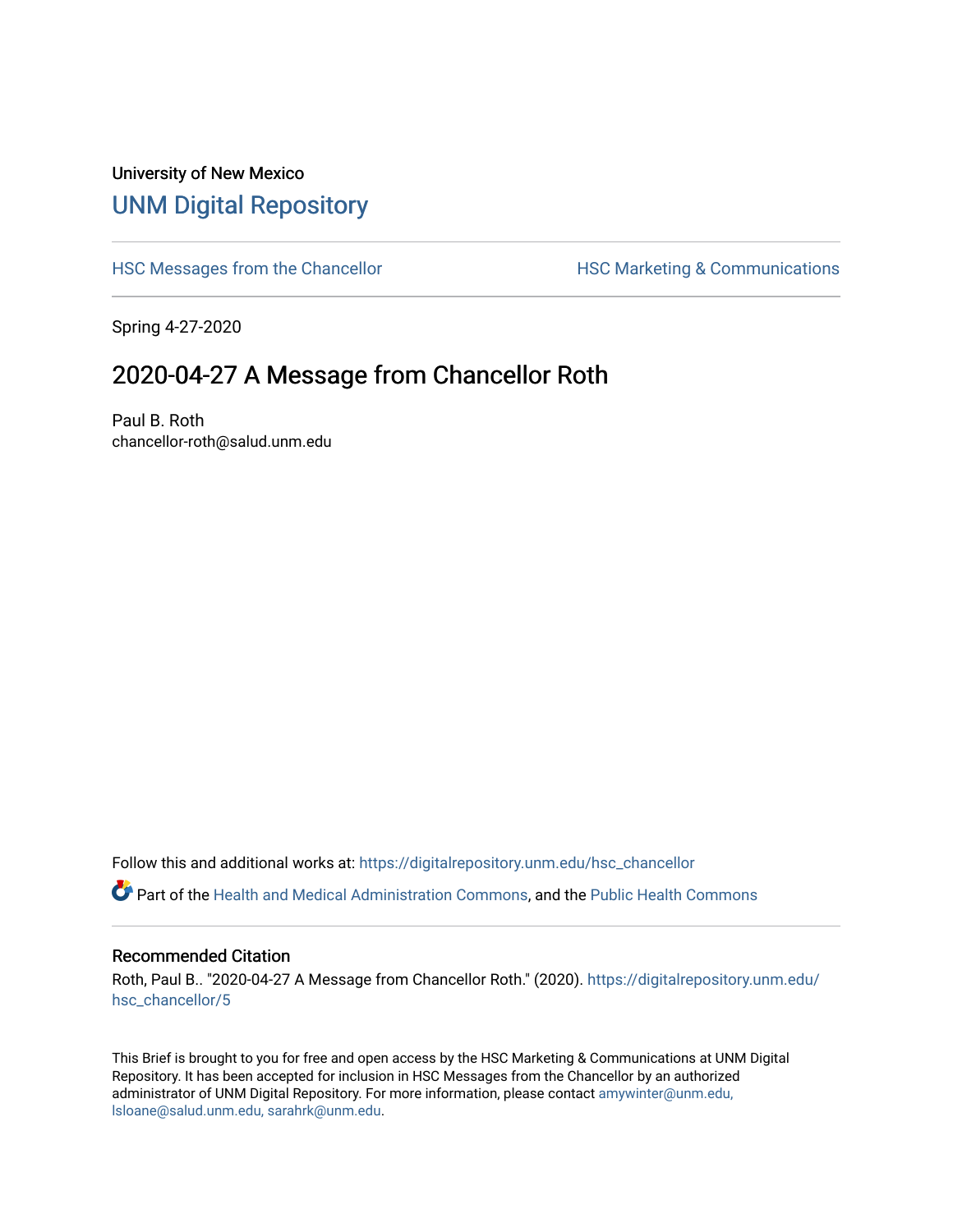## University of New Mexico [UNM Digital Repository](https://digitalrepository.unm.edu/)

[HSC Messages from the Chancellor](https://digitalrepository.unm.edu/hsc_chancellor) **HSC Marketing & Communications** 

Spring 4-27-2020

## 2020-04-27 A Message from Chancellor Roth

Paul B. Roth chancellor-roth@salud.unm.edu

Follow this and additional works at: [https://digitalrepository.unm.edu/hsc\\_chancellor](https://digitalrepository.unm.edu/hsc_chancellor?utm_source=digitalrepository.unm.edu%2Fhsc_chancellor%2F5&utm_medium=PDF&utm_campaign=PDFCoverPages) 

Part of the [Health and Medical Administration Commons](http://network.bepress.com/hgg/discipline/663?utm_source=digitalrepository.unm.edu%2Fhsc_chancellor%2F5&utm_medium=PDF&utm_campaign=PDFCoverPages), and the [Public Health Commons](http://network.bepress.com/hgg/discipline/738?utm_source=digitalrepository.unm.edu%2Fhsc_chancellor%2F5&utm_medium=PDF&utm_campaign=PDFCoverPages) 

## Recommended Citation

Roth, Paul B.. "2020-04-27 A Message from Chancellor Roth." (2020). [https://digitalrepository.unm.edu/](https://digitalrepository.unm.edu/hsc_chancellor/5?utm_source=digitalrepository.unm.edu%2Fhsc_chancellor%2F5&utm_medium=PDF&utm_campaign=PDFCoverPages) [hsc\\_chancellor/5](https://digitalrepository.unm.edu/hsc_chancellor/5?utm_source=digitalrepository.unm.edu%2Fhsc_chancellor%2F5&utm_medium=PDF&utm_campaign=PDFCoverPages)

This Brief is brought to you for free and open access by the HSC Marketing & Communications at UNM Digital Repository. It has been accepted for inclusion in HSC Messages from the Chancellor by an authorized administrator of UNM Digital Repository. For more information, please contact [amywinter@unm.edu,](mailto:amywinter@unm.edu,%20lsloane@salud.unm.edu,%20sarahrk@unm.edu) [lsloane@salud.unm.edu, sarahrk@unm.edu.](mailto:amywinter@unm.edu,%20lsloane@salud.unm.edu,%20sarahrk@unm.edu)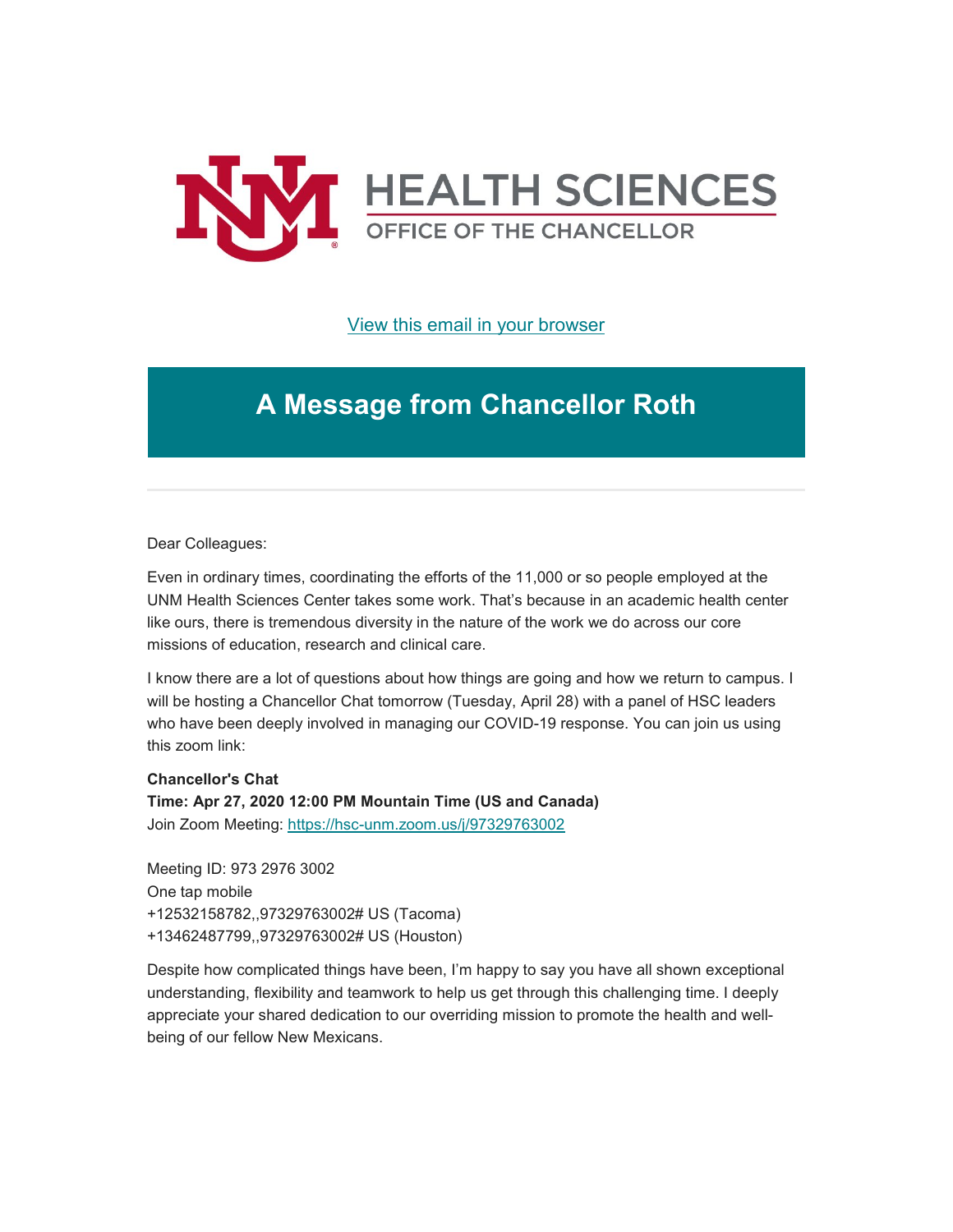

[View this email in your browser](https://mailchi.mp/c3d61e758206/message-from-the-chancellor-coronavirus-4399380?e=b4bbfca2c0)

## **A Message from Chancellor Roth**

Dear Colleagues:

Even in ordinary times, coordinating the efforts of the 11,000 or so people employed at the UNM Health Sciences Center takes some work. That's because in an academic health center like ours, there is tremendous diversity in the nature of the work we do across our core missions of education, research and clinical care.

I know there are a lot of questions about how things are going and how we return to campus. I will be hosting a Chancellor Chat tomorrow (Tuesday, April 28) with a panel of HSC leaders who have been deeply involved in managing our COVID-19 response. You can join us using this zoom link:

**Chancellor's Chat**

**Time: Apr 27, 2020 12:00 PM Mountain Time (US and Canada)** Join Zoom Meeting: [https://hsc-unm.zoom.us/j/97329763002](https://unm.us19.list-manage.com/track/click?u=59ce53c1a4dedb490bac78648&id=14b6eb3017&e=b4bbfca2c0)

Meeting ID: 973 2976 3002 One tap mobile +12532158782,,97329763002# US (Tacoma) +13462487799,,97329763002# US (Houston)

Despite how complicated things have been, I'm happy to say you have all shown exceptional understanding, flexibility and teamwork to help us get through this challenging time. I deeply appreciate your shared dedication to our overriding mission to promote the health and wellbeing of our fellow New Mexicans.